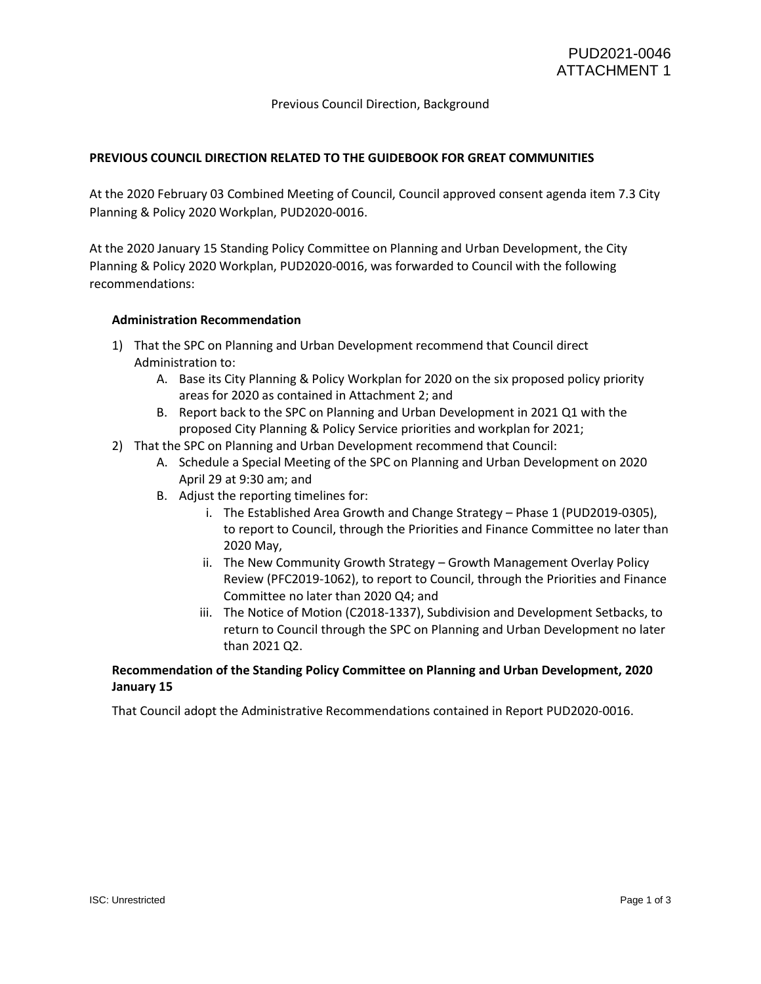## Previous Council Direction, Background

### **PREVIOUS COUNCIL DIRECTION RELATED TO THE GUIDEBOOK FOR GREAT COMMUNITIES**

At the 2020 February 03 Combined Meeting of Council, Council approved consent agenda item 7.3 City Planning & Policy 2020 Workplan, PUD2020-0016.

At the 2020 January 15 Standing Policy Committee on Planning and Urban Development, the City Planning & Policy 2020 Workplan, PUD2020-0016, was forwarded to Council with the following recommendations:

#### **Administration Recommendation**

- 1) That the SPC on Planning and Urban Development recommend that Council direct Administration to:
	- A. Base its City Planning & Policy Workplan for 2020 on the six proposed policy priority areas for 2020 as contained in Attachment 2; and
	- B. Report back to the SPC on Planning and Urban Development in 2021 Q1 with the proposed City Planning & Policy Service priorities and workplan for 2021;
- 2) That the SPC on Planning and Urban Development recommend that Council:
	- A. Schedule a Special Meeting of the SPC on Planning and Urban Development on 2020 April 29 at 9:30 am; and
	- B. Adjust the reporting timelines for:
		- i. The Established Area Growth and Change Strategy Phase 1 (PUD2019-0305), to report to Council, through the Priorities and Finance Committee no later than 2020 May,
		- ii. The New Community Growth Strategy Growth Management Overlay Policy Review (PFC2019-1062), to report to Council, through the Priorities and Finance Committee no later than 2020 Q4; and
		- iii. The Notice of Motion (C2018-1337), Subdivision and Development Setbacks, to return to Council through the SPC on Planning and Urban Development no later than 2021 Q2.

## **Recommendation of the Standing Policy Committee on Planning and Urban Development, 2020 January 15**

That Council adopt the Administrative Recommendations contained in Report PUD2020-0016.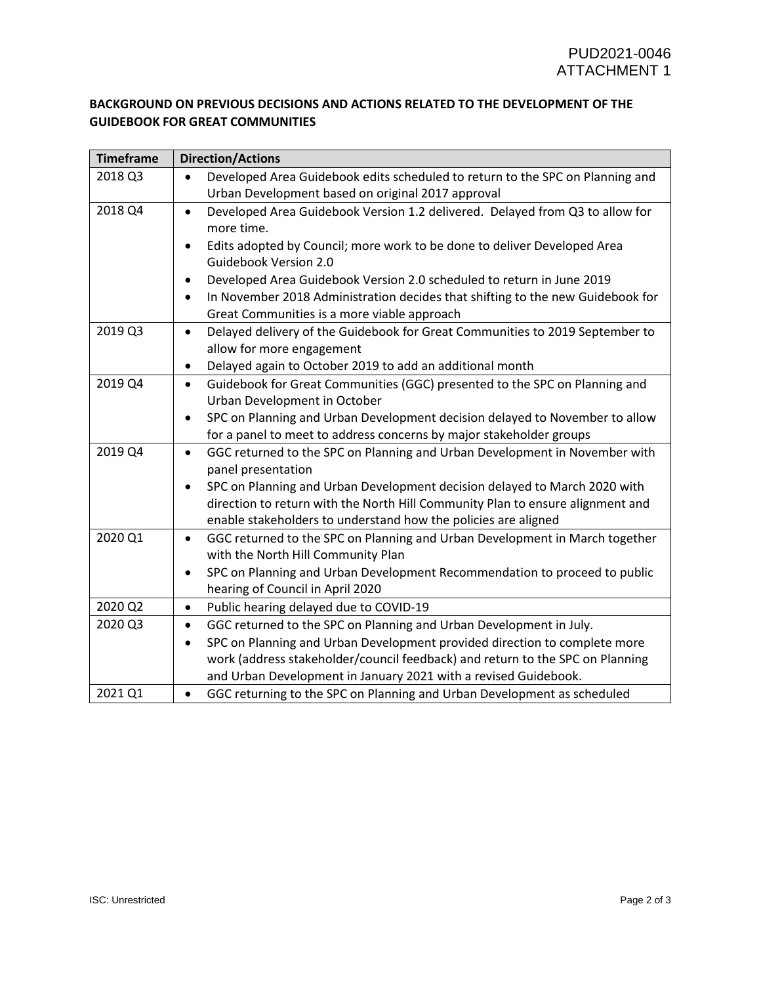# **BACKGROUND ON PREVIOUS DECISIONS AND ACTIONS RELATED TO THE DEVELOPMENT OF THE GUIDEBOOK FOR GREAT COMMUNITIES**

| <b>Timeframe</b> | <b>Direction/Actions</b>                                                                                      |
|------------------|---------------------------------------------------------------------------------------------------------------|
| 2018 Q3          | Developed Area Guidebook edits scheduled to return to the SPC on Planning and                                 |
|                  | Urban Development based on original 2017 approval                                                             |
| 2018 Q4          | Developed Area Guidebook Version 1.2 delivered. Delayed from Q3 to allow for<br>$\bullet$                     |
|                  | more time.                                                                                                    |
|                  | Edits adopted by Council; more work to be done to deliver Developed Area                                      |
|                  | Guidebook Version 2.0                                                                                         |
|                  | Developed Area Guidebook Version 2.0 scheduled to return in June 2019                                         |
|                  | In November 2018 Administration decides that shifting to the new Guidebook for                                |
|                  | Great Communities is a more viable approach                                                                   |
| 2019 Q3          | Delayed delivery of the Guidebook for Great Communities to 2019 September to<br>$\bullet$                     |
|                  | allow for more engagement                                                                                     |
|                  | Delayed again to October 2019 to add an additional month<br>$\bullet$                                         |
| 2019 Q4          | Guidebook for Great Communities (GGC) presented to the SPC on Planning and<br>$\bullet$                       |
|                  | Urban Development in October                                                                                  |
|                  | SPC on Planning and Urban Development decision delayed to November to allow<br>$\bullet$                      |
|                  | for a panel to meet to address concerns by major stakeholder groups                                           |
| 2019 Q4          | GGC returned to the SPC on Planning and Urban Development in November with<br>$\bullet$<br>panel presentation |
|                  | SPC on Planning and Urban Development decision delayed to March 2020 with<br>$\bullet$                        |
|                  | direction to return with the North Hill Community Plan to ensure alignment and                                |
|                  | enable stakeholders to understand how the policies are aligned                                                |
| 2020 Q1          | GGC returned to the SPC on Planning and Urban Development in March together<br>$\bullet$                      |
|                  | with the North Hill Community Plan                                                                            |
|                  | SPC on Planning and Urban Development Recommendation to proceed to public<br>$\bullet$                        |
|                  | hearing of Council in April 2020                                                                              |
| 2020 Q2          | Public hearing delayed due to COVID-19<br>$\bullet$                                                           |
| 2020 Q3          | GGC returned to the SPC on Planning and Urban Development in July.<br>$\bullet$                               |
|                  | SPC on Planning and Urban Development provided direction to complete more<br>$\bullet$                        |
|                  | work (address stakeholder/council feedback) and return to the SPC on Planning                                 |
|                  | and Urban Development in January 2021 with a revised Guidebook.                                               |
| 2021 Q1          | GGC returning to the SPC on Planning and Urban Development as scheduled<br>$\bullet$                          |